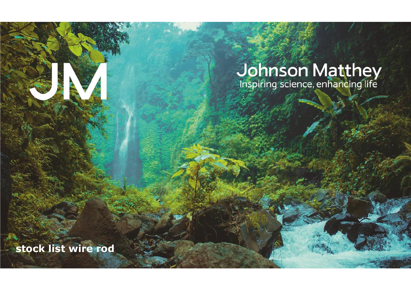# **Johnson Matthey**<br>Inspiring science, enhancing life

**stock list wire rod**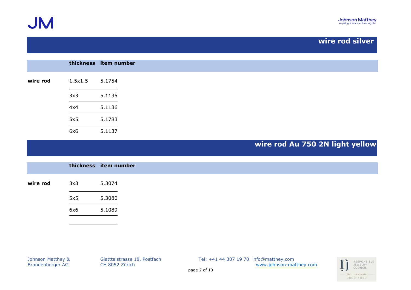**JM** 

## **wire rod silver**

|          |                    | thickness item number |
|----------|--------------------|-----------------------|
| wire rod | $1.5x1.5$ $5.1754$ |                       |
|          | 3x3                | 5.1135                |
|          | 4x4                | 5.1136                |
|          | 5x5                | 5.1783                |
|          | 6x6                | 5.1137                |

# **wire rod Au 750 2N light yellow**

|          |     | thickness item number |
|----------|-----|-----------------------|
| wire rod | 3x3 | 5.3074                |
|          | 5x5 | 5.3080                |
|          | 6x6 | 5.1089                |

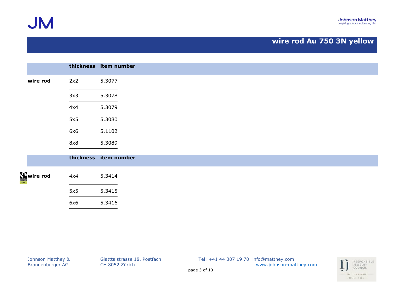**JM** 

## **wire rod Au 750 3N yellow**

|                   |                       | thickness item number |
|-------------------|-----------------------|-----------------------|
| wire rod          | 2x2                   | 5.3077                |
|                   | 3x3                   | 5.3078                |
|                   | 4x4                   | 5.3079                |
|                   | 5x5                   | 5.3080                |
|                   | 6x6                   | 5.1102                |
|                   | 8x8                   | 5.3089                |
|                   | thickness item number |                       |
| <b>Source rod</b> | 4x4                   | 5.3414                |
|                   | 5x5                   | 5.3415                |
|                   | 6x6                   | 5.3416                |

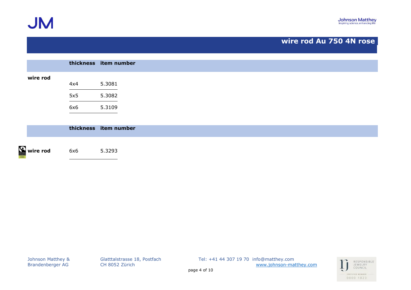

## **wire rod Au 750 4N rose**

|                               |     | thickness item number |
|-------------------------------|-----|-----------------------|
| wire rod                      |     |                       |
|                               | 4x4 | 5.3081                |
|                               | 5x5 | 5.3082                |
|                               | 6x6 | 5.3109                |
|                               |     |                       |
|                               |     | thickness item number |
|                               |     |                       |
| $\sum_{\text{even}}$ wire rod | 6x6 | 5.3293                |

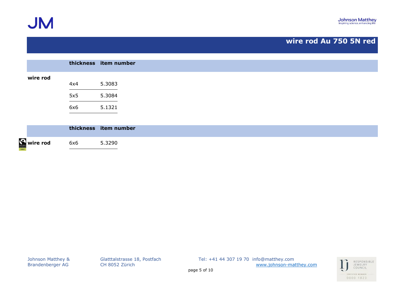

## **wire rod Au 750 5N red**

|          |     | thickness item number |
|----------|-----|-----------------------|
| wire rod |     |                       |
|          | 4x4 | 5.3083                |
|          | 5x5 | 5.3084                |
|          | 6x6 | 5.1321                |
|          |     |                       |
|          |     | thickness item number |

 $\Omega$ **wire rod** 6x6 5.3290

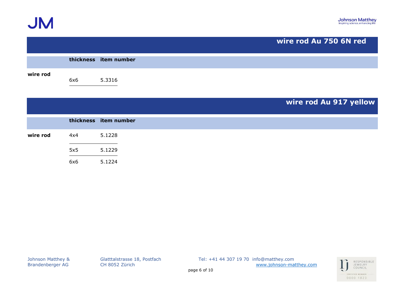

|          |           |                       | wire rod Au 750 6N red |  |
|----------|-----------|-----------------------|------------------------|--|
|          |           | thickness item number |                        |  |
| wire rod | 6x6       | 5.3316                |                        |  |
|          |           |                       | wire rod Au 917 yellow |  |
|          | thickness | item number           |                        |  |
| wire rod | 4x4       | 5.1228                |                        |  |
|          | 5x5       | 5.1229                |                        |  |
|          | 6x6       | 5.1224                |                        |  |

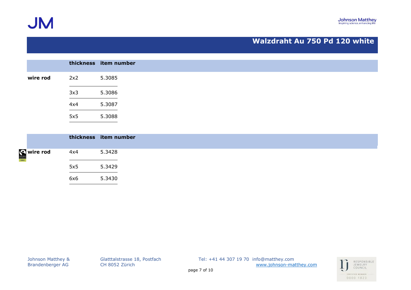**JM** 

#### **Walzdraht Au 750 Pd 120 white**

|          |     | thickness item number |
|----------|-----|-----------------------|
| wire rod | 2x2 | 5.3085                |
|          | 3x3 | 5.3086                |
|          | 4x4 | 5.3087                |
|          | 5x5 | 5.3088                |

|          |     | thickness item number |
|----------|-----|-----------------------|
| Wire rod | 4x4 | 5.3428                |
|          | 5x5 | 5.3429                |
|          | 6x6 | 5.3430                |

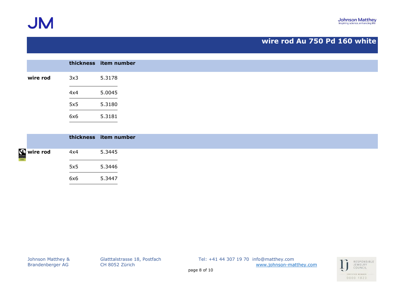

**JM** 

## **wire rod Au 750 Pd 160 white**

|          |     | thickness item number |
|----------|-----|-----------------------|
| wire rod | 3x3 | 5.3178                |
|          | 4x4 | 5.0045                |
|          | 5x5 | 5.3180                |
|          | 6x6 | 5.3181                |

|          |     | thickness item number |
|----------|-----|-----------------------|
| Wire rod | 4x4 | 5.3445                |
|          | 5x5 | 5.3446                |
|          | 6x6 | 5.3447                |

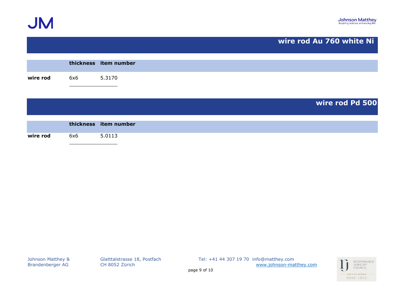



|          |           |                       | wire rod Au 760 white Ni |
|----------|-----------|-----------------------|--------------------------|
|          |           | thickness item number |                          |
|          |           |                       |                          |
| wire rod | 6x6       | 5.3170                |                          |
|          |           |                       |                          |
|          |           |                       |                          |
|          |           |                       | wire rod Pd 500          |
|          |           |                       |                          |
|          | thickness | item number           |                          |
|          |           |                       |                          |
| wire rod | 6x6       | 5.0113                |                          |